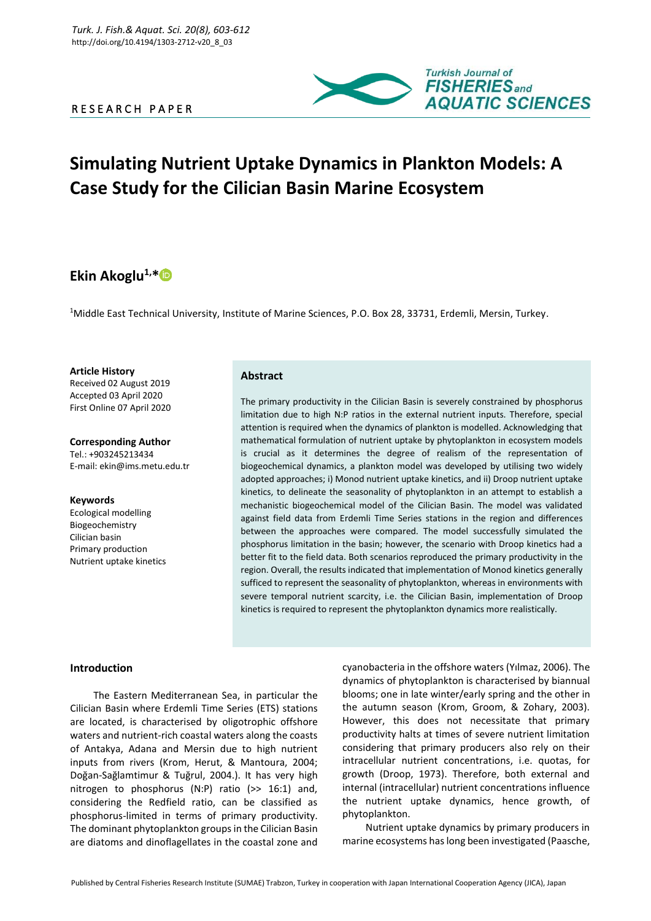



# **Simulating Nutrient Uptake Dynamics in Plankton Models: A Case Study for the Cilician Basin Marine Ecosystem**

## **Ekin Akoglu1,\***

<sup>1</sup>Middle East Technical University, Institute of Marine Sciences, P.O. Box 28, 33731, Erdemli, Mersin, Turkey.

**Article History** Received 02 August 2019 Accepted 03 April 2020 First Online 07 April 2020

**Corresponding Author** Tel.: +903245213434 E-mail: ekin@ims.metu.edu.tr

**Keywords** Ecological modelling Biogeochemistry Cilician basin Primary production

Nutrient uptake kinetics

## **Abstract**

The primary productivity in the Cilician Basin is severely constrained by phosphorus limitation due to high N:P ratios in the external nutrient inputs. Therefore, special attention is required when the dynamics of plankton is modelled. Acknowledging that mathematical formulation of nutrient uptake by phytoplankton in ecosystem models is crucial as it determines the degree of realism of the representation of biogeochemical dynamics, a plankton model was developed by utilising two widely adopted approaches; i) Monod nutrient uptake kinetics, and ii) Droop nutrient uptake kinetics, to delineate the seasonality of phytoplankton in an attempt to establish a mechanistic biogeochemical model of the Cilician Basin. The model was validated against field data from Erdemli Time Series stations in the region and differences between the approaches were compared. The model successfully simulated the phosphorus limitation in the basin; however, the scenario with Droop kinetics had a better fit to the field data. Both scenarios reproduced the primary productivity in the region. Overall, the results indicated that implementation of Monod kinetics generally sufficed to represent the seasonality of phytoplankton, whereas in environments with severe temporal nutrient scarcity, i.e. the Cilician Basin, implementation of Droop kinetics is required to represent the phytoplankton dynamics more realistically.

## **Introduction**

The Eastern Mediterranean Sea, in particular the Cilician Basin where Erdemli Time Series (ETS) stations are located, is characterised by oligotrophic offshore waters and nutrient-rich coastal waters along the coasts of Antakya, Adana and Mersin due to high nutrient inputs from rivers (Krom, Herut, & Mantoura, 2004; Doğan-Sağlamtimur & Tuğrul, 2004.). It has very high nitrogen to phosphorus  $(N:P)$  ratio  $(> 16:1)$  and, considering the Redfield ratio, can be classified as phosphorus-limited in terms of primary productivity. The dominant phytoplankton groups in the Cilician Basin are diatoms and dinoflagellates in the coastal zone and cyanobacteria in the offshore waters (Yılmaz, 2006). The dynamics of phytoplankton is characterised by biannual blooms; one in late winter/early spring and the other in the autumn season (Krom, Groom, & Zohary, 2003). However, this does not necessitate that primary productivity halts at times of severe nutrient limitation considering that primary producers also rely on their intracellular nutrient concentrations, i.e. quotas, for growth (Droop, 1973). Therefore, both external and internal (intracellular) nutrient concentrations influence the nutrient uptake dynamics, hence growth, of phytoplankton.

Nutrient uptake dynamics by primary producers in marine ecosystems has long been investigated (Paasche,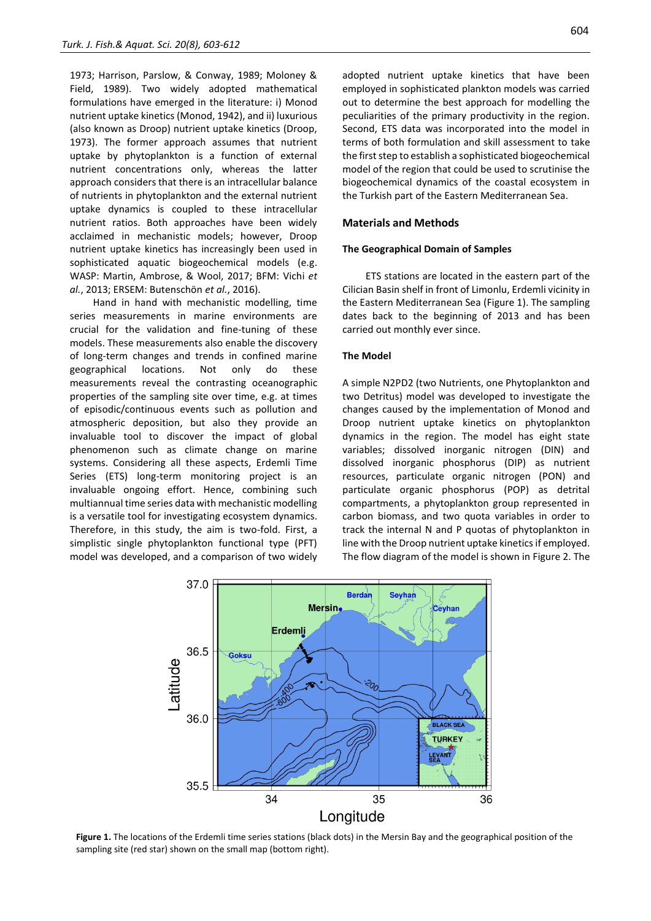1973; Harrison, Parslow, & Conway, 1989; Moloney & Field, 1989). Two widely adopted mathematical formulations have emerged in the literature: i) Monod nutrient uptake kinetics (Monod, 1942), and ii) luxurious (also known as Droop) nutrient uptake kinetics (Droop, 1973). The former approach assumes that nutrient uptake by phytoplankton is a function of external nutrient concentrations only, whereas the latter approach considers that there is an intracellular balance of nutrients in phytoplankton and the external nutrient uptake dynamics is coupled to these intracellular nutrient ratios. Both approaches have been widely acclaimed in mechanistic models; however, Droop nutrient uptake kinetics has increasingly been used in sophisticated aquatic biogeochemical models (e.g. WASP: Martin, Ambrose, & Wool, 2017; BFM: Vichi *et al.*, 2013; ERSEM: Butenschön *et al.*, 2016).

Hand in hand with mechanistic modelling, time series measurements in marine environments are crucial for the validation and fine-tuning of these models. These measurements also enable the discovery of long-term changes and trends in confined marine geographical locations. Not only do these measurements reveal the contrasting oceanographic properties of the sampling site over time, e.g. at times of episodic/continuous events such as pollution and atmospheric deposition, but also they provide an invaluable tool to discover the impact of global phenomenon such as climate change on marine systems. Considering all these aspects, Erdemli Time Series (ETS) long-term monitoring project is an invaluable ongoing effort. Hence, combining such multiannual time series data with mechanistic modelling is a versatile tool for investigating ecosystem dynamics. Therefore, in this study, the aim is two-fold. First, a simplistic single phytoplankton functional type (PFT) model was developed, and a comparison of two widely

adopted nutrient uptake kinetics that have been employed in sophisticated plankton models was carried out to determine the best approach for modelling the peculiarities of the primary productivity in the region. Second, ETS data was incorporated into the model in terms of both formulation and skill assessment to take the first step to establish a sophisticated biogeochemical model of the region that could be used to scrutinise the biogeochemical dynamics of the coastal ecosystem in the Turkish part of the Eastern Mediterranean Sea.

#### **Materials and Methods**

### **The Geographical Domain of Samples**

ETS stations are located in the eastern part of the Cilician Basin shelf in front of Limonlu, Erdemli vicinity in the Eastern Mediterranean Sea (Figure 1). The sampling dates back to the beginning of 2013 and has been carried out monthly ever since.

### **The Model**

A simple N2PD2 (two Nutrients, one Phytoplankton and two Detritus) model was developed to investigate the changes caused by the implementation of Monod and Droop nutrient uptake kinetics on phytoplankton dynamics in the region. The model has eight state variables; dissolved inorganic nitrogen (DIN) and dissolved inorganic phosphorus (DIP) as nutrient resources, particulate organic nitrogen (PON) and particulate organic phosphorus (POP) as detrital compartments, a phytoplankton group represented in carbon biomass, and two quota variables in order to track the internal N and P quotas of phytoplankton in line with the Droop nutrient uptake kinetics if employed. The flow diagram of the model is shown in Figure 2. The



**Figure 1.** The locations of the Erdemli time series stations (black dots) in the Mersin Bay and the geographical position of the sampling site (red star) shown on the small map (bottom right).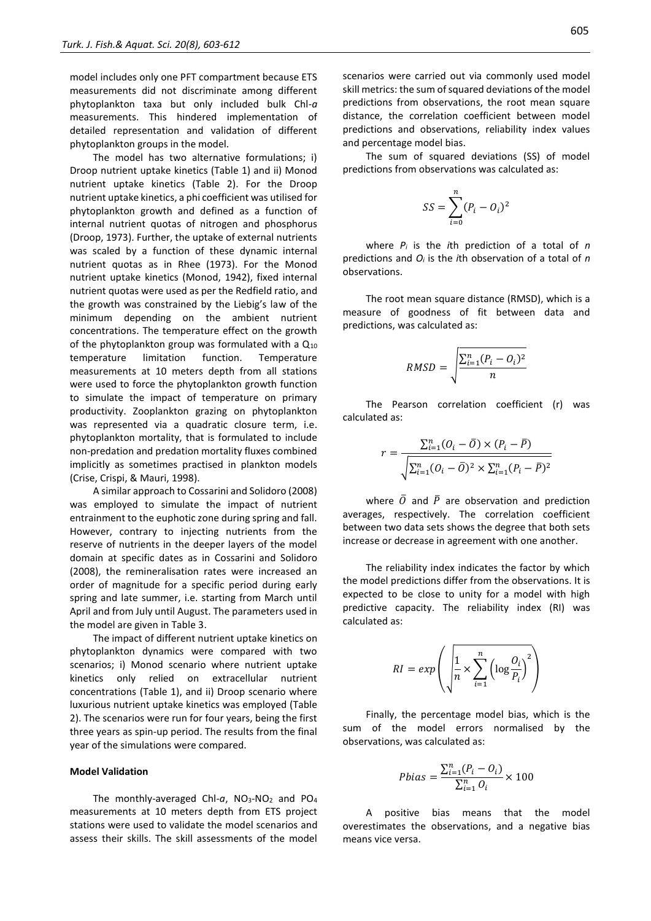model includes only one PFT compartment because ETS measurements did not discriminate among different phytoplankton taxa but only included bulk Chl-*a* measurements. This hindered implementation of detailed representation and validation of different phytoplankton groups in the model.

The model has two alternative formulations; i) Droop nutrient uptake kinetics (Table 1) and ii) Monod nutrient uptake kinetics (Table 2). For the Droop nutrient uptake kinetics, a phi coefficient was utilised for phytoplankton growth and defined as a function of internal nutrient quotas of nitrogen and phosphorus (Droop, 1973). Further, the uptake of external nutrients was scaled by a function of these dynamic internal nutrient quotas as in Rhee (1973). For the Monod nutrient uptake kinetics (Monod, 1942), fixed internal nutrient quotas were used as per the Redfield ratio, and the growth was constrained by the Liebig's law of the minimum depending on the ambient nutrient concentrations. The temperature effect on the growth of the phytoplankton group was formulated with a  $Q_{10}$ temperature limitation function. Temperature measurements at 10 meters depth from all stations were used to force the phytoplankton growth function to simulate the impact of temperature on primary productivity. Zooplankton grazing on phytoplankton was represented via a quadratic closure term, i.e. phytoplankton mortality, that is formulated to include non-predation and predation mortality fluxes combined implicitly as sometimes practised in plankton models (Crise, Crispi, & Mauri, 1998).

A similar approach to Cossarini and Solidoro (2008) was employed to simulate the impact of nutrient entrainment to the euphotic zone during spring and fall. However, contrary to injecting nutrients from the reserve of nutrients in the deeper layers of the model domain at specific dates as in Cossarini and Solidoro (2008), the remineralisation rates were increased an order of magnitude for a specific period during early spring and late summer, i.e. starting from March until April and from July until August. The parameters used in the model are given in Table 3.

The impact of different nutrient uptake kinetics on phytoplankton dynamics were compared with two scenarios; i) Monod scenario where nutrient uptake kinetics only relied on extracellular nutrient concentrations (Table 1), and ii) Droop scenario where luxurious nutrient uptake kinetics was employed (Table 2). The scenarios were run for four years, being the first three years as spin-up period. The results from the final year of the simulations were compared.

## **Model Validation**

The monthly-averaged Chl-a, NO<sub>3</sub>-NO<sub>2</sub> and PO<sub>4</sub> measurements at 10 meters depth from ETS project stations were used to validate the model scenarios and assess their skills. The skill assessments of the model scenarios were carried out via commonly used model skill metrics: the sum of squared deviations of the model predictions from observations, the root mean square distance, the correlation coefficient between model predictions and observations, reliability index values and percentage model bias.

The sum of squared deviations (SS) of model predictions from observations was calculated as:

$$
SS = \sum_{i=0}^{n} (P_i - O_i)^2
$$

where *P<sup>i</sup>* is the *i*th prediction of a total of *n* predictions and *O<sup>i</sup>* is the *i*th observation of a total of *n* observations.

The root mean square distance (RMSD), which is a measure of goodness of fit between data and predictions, was calculated as:

$$
RMSD = \sqrt{\frac{\sum_{i=1}^{n} (P_i - O_i)^2}{n}}
$$

The Pearson correlation coefficient (r) was calculated as:

$$
r = \frac{\sum_{i=1}^{n} (O_i - \bar{O}) \times (P_i - \bar{P})}{\sqrt{\sum_{i=1}^{n} (O_i - \bar{O})^2 \times \sum_{i=1}^{n} (P_i - \bar{P})^2}}
$$

where  $\overline{O}$  and  $\overline{P}$  are observation and prediction averages, respectively. The correlation coefficient between two data sets shows the degree that both sets increase or decrease in agreement with one another.

The reliability index indicates the factor by which the model predictions differ from the observations. It is expected to be close to unity for a model with high predictive capacity. The reliability index (RI) was calculated as:

$$
RI = exp\left(\sqrt{\frac{1}{n} \times \sum_{i=1}^{n} \left(\log \frac{O_i}{P_i}\right)^2}\right)
$$

Finally, the percentage model bias, which is the sum of the model errors normalised by the observations, was calculated as:

$$
Pbias = \frac{\sum_{i=1}^{n} (P_i - O_i)}{\sum_{i=1}^{n} O_i} \times 100
$$

A positive bias means that the model overestimates the observations, and a negative bias means vice versa.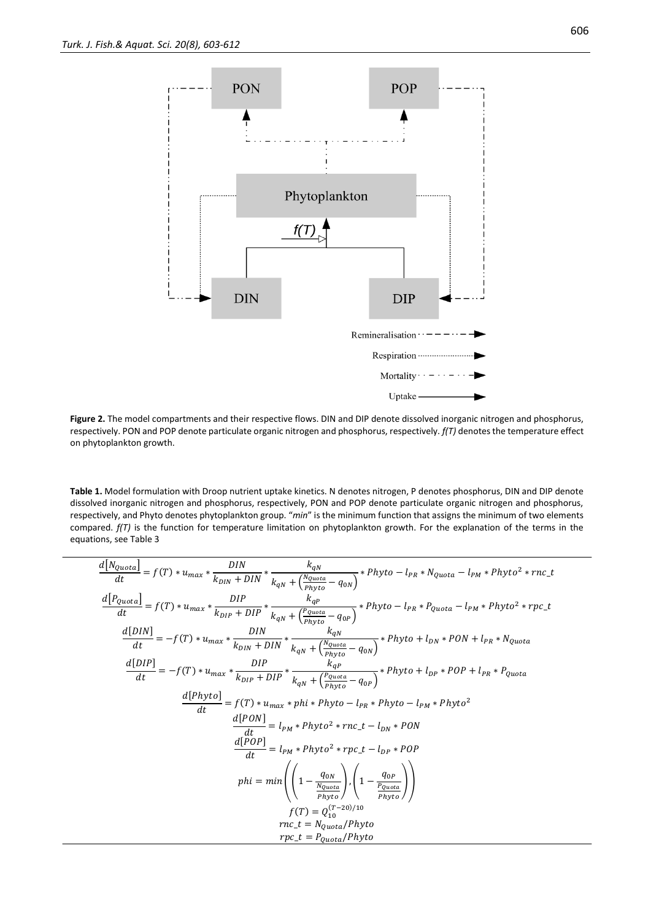

**Figure 2.** The model compartments and their respective flows. DIN and DIP denote dissolved inorganic nitrogen and phosphorus, respectively. PON and POP denote particulate organic nitrogen and phosphorus, respectively. *f(T)* denotes the temperature effect on phytoplankton growth.

**Table 1.** Model formulation with Droop nutrient uptake kinetics. N denotes nitrogen, P denotes phosphorus, DIN and DIP denote dissolved inorganic nitrogen and phosphorus, respectively, PON and POP denote particulate organic nitrogen and phosphorus, respectively, and Phyto denotes phytoplankton group. "*min*" is the minimum function that assigns the minimum of two elements compared. *f(T)* is the function for temperature limitation on phytoplankton growth. For the explanation of the terms in the equations, see Table 3

$$
\frac{d[N_{Quota}]}{dt} = f(T) * u_{max} * \frac{DIN}{k_{DIN} + DIN} * \frac{k_{qN}}{k_{qN} + (\frac{N_{Quota}}{p_{nt0}t0} - q_{0N})} * Phyto - l_{PR} * N_{Quota} - l_{PM} * Phyto^2 * mc\_t
$$
\n
$$
\frac{d[p_{Quota}]}{dt} = f(T) * u_{max} * \frac{DIP}{k_{DIP} + DIP} * \frac{k_{qP}}{k_{qN} + (\frac{P_{Quuta}}{p_{nt0}t0} - q_{0P})} * Phyto - l_{PR} * p_{quota} - l_{PM} * Phyto^2 * mc\_t
$$
\n
$$
\frac{d[DIN]}{dt} = -f(T) * u_{max} * \frac{DIN}{k_{DIN} + DIN} * \frac{k_{qN}}{k_{qN} + (\frac{N_{quota}}{p_{nt0}t0} - q_{0N})} * Phyto + l_{DN} * PON + l_{PR} * N_{Quota}
$$
\n
$$
\frac{d[DIP]}{dt} = -f(T) * u_{max} * \frac{DIP}{k_{DIP} + DIP} * \frac{k_{qP}}{k_{qN} + (\frac{P_{quota}}{p_{nt0}t0} - q_{0P})} * Phyto + l_{DP} * POP + l_{PR} * P_{quota}
$$
\n
$$
\frac{d[Phyto]}{dt} = f(T) * u_{max} * phi * Phyto - l_{PR} * Phyto - l_{PM} * Phyto^2
$$
\n
$$
\frac{d[PON]}{dt} = l_{PM} * Phyto^2 * mc\_t - l_{DP} * POP
$$
\n
$$
\frac{d[POP]}{dt} = l_{PM} * Phyto^2 * mc\_t - l_{DP} * POP
$$
\n
$$
phi = min \left( \left( 1 - \frac{q_{0P}}{\frac{N_{quota}}{p_{nt0}t0}} \right) / \left( 1 - \frac{q_{0P}}{\frac{P_{quota}}{p_{nt0}t0}} \right) \right)
$$
\n
$$
f(T) = Q_{10}^{(T-20)/10}
$$
\n
$$
mc\_t = N_{quota}/Phyto
$$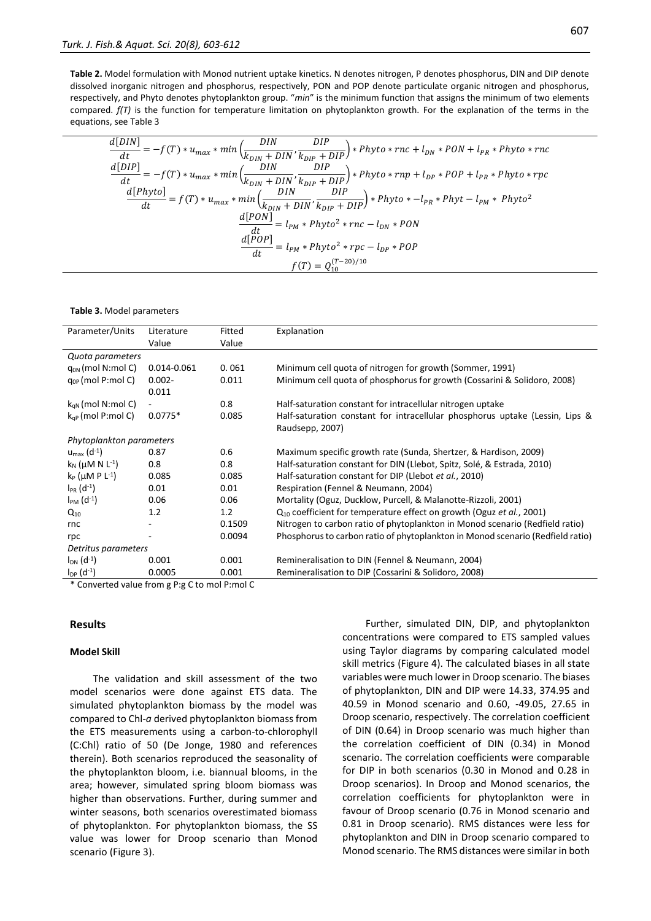**Table 2.** Model formulation with Monod nutrient uptake kinetics. N denotes nitrogen, P denotes phosphorus, DIN and DIP denote dissolved inorganic nitrogen and phosphorus, respectively, PON and POP denote particulate organic nitrogen and phosphorus, respectively, and Phyto denotes phytoplankton group. "*min*" is the minimum function that assigns the minimum of two elements compared. *f(T)* is the function for temperature limitation on phytoplankton growth. For the explanation of the terms in the equations, see Table 3

$$
\frac{d[DIN]}{dt} = -f(T) * u_{max} * min\left(\frac{DIN}{k_{DIN} + DIN}, \frac{DIP}{k_{DIP} + DIP}\right) * Phyto * rnc + l_{DN} * PON + l_{PR} * Phyto * rnc
$$
\n
$$
\frac{d[DIP]}{dt} = -f(T) * u_{max} * min\left(\frac{DIN}{k_{DIN} + DIN}, \frac{DIP}{k_{DIP} + DIP}\right) * Phyto * rnp + l_{DP} * POP + l_{PR} * Phyto * rpc
$$
\n
$$
\frac{d[Phyto]}{dt} = f(T) * u_{max} * min\left(\frac{DIN}{k_{DIN} + DIN}, \frac{DIP}{k_{DIP} + DIP}\right) * Phyto * - l_{PR} * Phyto - l_{PM} * Phyto^2
$$
\n
$$
\frac{d[PON]}{dt} = l_{PM} * Phyto^2 * rnc - l_{DN} * POP
$$
\n
$$
\frac{d[POP]}{dt} = l_{PM} * Phyto^2 * rpc - l_{DP} * POP
$$
\n
$$
f(T) = Q_{10}^{(T-20)/10}
$$

**Table 3.** Model parameters

| Parameter/Units                     | Literature  | Fitted | Explanation                                                                    |
|-------------------------------------|-------------|--------|--------------------------------------------------------------------------------|
|                                     | Value       | Value  |                                                                                |
| Quota parameters                    |             |        |                                                                                |
| $q_{0N}$ (mol N:mol C)              | 0.014-0.061 | 0.061  | Minimum cell quota of nitrogen for growth (Sommer, 1991)                       |
| $q_{0P}$ (mol P:mol C)              | $0.002 -$   | 0.011  | Minimum cell quota of phosphorus for growth (Cossarini & Solidoro, 2008)       |
|                                     | 0.011       |        |                                                                                |
| $k_{qN}$ (mol N:mol C)              |             | 0.8    | Half-saturation constant for intracellular nitrogen uptake                     |
| $k_{qp}$ (mol P:mol C)              | $0.0775*$   | 0.085  | Half-saturation constant for intracellular phosphorus uptake (Lessin, Lips &   |
|                                     |             |        | Raudsepp, 2007)                                                                |
| Phytoplankton parameters            |             |        |                                                                                |
| $u_{\text{max}}$ (d <sup>-1</sup> ) | 0.87        | 0.6    | Maximum specific growth rate (Sunda, Shertzer, & Hardison, 2009)               |
| $k_N$ ( $\mu$ M N L <sup>-1</sup> ) | 0.8         | 0.8    | Half-saturation constant for DIN (Llebot, Spitz, Solé, & Estrada, 2010)        |
| $k_P$ ( $\mu$ M P L <sup>-1</sup> ) | 0.085       | 0.085  | Half-saturation constant for DIP (Llebot et al., 2010)                         |
| $I_{PR}$ (d-1)                      | 0.01        | 0.01   | Respiration (Fennel & Neumann, 2004)                                           |
| $I_{PM}$ (d <sup>-1</sup> )         | 0.06        | 0.06   | Mortality (Oguz, Ducklow, Purcell, & Malanotte-Rizzoli, 2001)                  |
| $Q_{10}$                            | 1.2         | 1.2    | $Q_{10}$ coefficient for temperature effect on growth (Oguz et al., 2001)      |
| rnc                                 |             | 0.1509 | Nitrogen to carbon ratio of phytoplankton in Monod scenario (Redfield ratio)   |
| rpc                                 |             | 0.0094 | Phosphorus to carbon ratio of phytoplankton in Monod scenario (Redfield ratio) |
| Detritus parameters                 |             |        |                                                                                |
| $I_{DN}$ (d <sup>-1</sup> )         | 0.001       | 0.001  | Remineralisation to DIN (Fennel & Neumann, 2004)                               |
| $I_{DP}$ $(d^{-1})$                 | 0.0005      | 0.001  | Remineralisation to DIP (Cossarini & Solidoro, 2008)                           |

\* Converted value from g P:g C to mol P:mol C

## **Results**

## **Model Skill**

The validation and skill assessment of the two model scenarios were done against ETS data. The simulated phytoplankton biomass by the model was compared to Chl-*a* derived phytoplankton biomass from the ETS measurements using a carbon-to-chlorophyll (C:Chl) ratio of 50 (De Jonge, 1980 and references therein). Both scenarios reproduced the seasonality of the phytoplankton bloom, i.e. biannual blooms, in the area; however, simulated spring bloom biomass was higher than observations. Further, during summer and winter seasons, both scenarios overestimated biomass of phytoplankton. For phytoplankton biomass, the SS value was lower for Droop scenario than Monod scenario (Figure 3).

Further, simulated DIN, DIP, and phytoplankton concentrations were compared to ETS sampled values using Taylor diagrams by comparing calculated model skill metrics (Figure 4). The calculated biases in all state variables were much lower in Droop scenario. The biases of phytoplankton, DIN and DIP were 14.33, 374.95 and 40.59 in Monod scenario and 0.60, -49.05, 27.65 in Droop scenario, respectively. The correlation coefficient of DIN (0.64) in Droop scenario was much higher than the correlation coefficient of DIN (0.34) in Monod scenario. The correlation coefficients were comparable for DIP in both scenarios (0.30 in Monod and 0.28 in Droop scenarios). In Droop and Monod scenarios, the correlation coefficients for phytoplankton were in favour of Droop scenario (0.76 in Monod scenario and 0.81 in Droop scenario). RMS distances were less for phytoplankton and DIN in Droop scenario compared to Monod scenario. The RMS distances were similar in both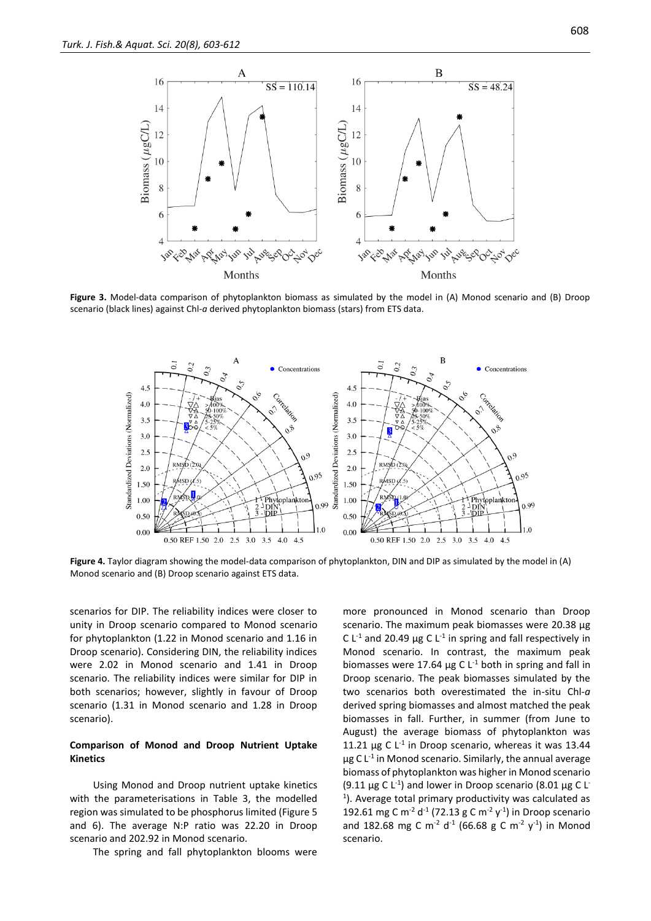

**Figure 3.** Model-data comparison of phytoplankton biomass as simulated by the model in (A) Monod scenario and (B) Droop scenario (black lines) against Chl-*a* derived phytoplankton biomass (stars) from ETS data.



**Figure 4.** Taylor diagram showing the model-data comparison of phytoplankton, DIN and DIP as simulated by the model in (A) Monod scenario and (B) Droop scenario against ETS data.

scenarios for DIP. The reliability indices were closer to unity in Droop scenario compared to Monod scenario for phytoplankton (1.22 in Monod scenario and 1.16 in Droop scenario). Considering DIN, the reliability indices were 2.02 in Monod scenario and 1.41 in Droop scenario. The reliability indices were similar for DIP in both scenarios; however, slightly in favour of Droop scenario (1.31 in Monod scenario and 1.28 in Droop scenario).

## **Comparison of Monod and Droop Nutrient Uptake Kinetics**

Using Monod and Droop nutrient uptake kinetics with the parameterisations in Table 3, the modelled region was simulated to be phosphorus limited (Figure 5 and 6). The average N:P ratio was 22.20 in Droop scenario and 202.92 in Monod scenario.

The spring and fall phytoplankton blooms were

more pronounced in Monod scenario than Droop scenario. The maximum peak biomasses were 20.38 µg C  $L^{-1}$  and 20.49 µg C  $L^{-1}$  in spring and fall respectively in Monod scenario. In contrast, the maximum peak biomasses were 17.64  $\mu$ g C L<sup>-1</sup> both in spring and fall in Droop scenario. The peak biomasses simulated by the two scenarios both overestimated the in-situ Chl-*a* derived spring biomasses and almost matched the peak biomasses in fall. Further, in summer (from June to August) the average biomass of phytoplankton was 11.21  $\mu$ g C L<sup>-1</sup> in Droop scenario, whereas it was 13.44  $\mu$ g C L<sup>-1</sup> in Monod scenario. Similarly, the annual average biomass of phytoplankton was higher in Monod scenario (9.11  $\mu$ g C L<sup>-1</sup>) and lower in Droop scenario (8.01  $\mu$ g C L<sup>-</sup> <sup>1</sup>). Average total primary productivity was calculated as 192.61 mg C m<sup>-2</sup> d<sup>-1</sup> (72.13 g C m<sup>-2</sup> y<sup>-1</sup>) in Droop scenario and 182.68 mg C m<sup>-2</sup> d<sup>-1</sup> (66.68 g C m<sup>-2</sup> y<sup>-1</sup>) in Monod scenario.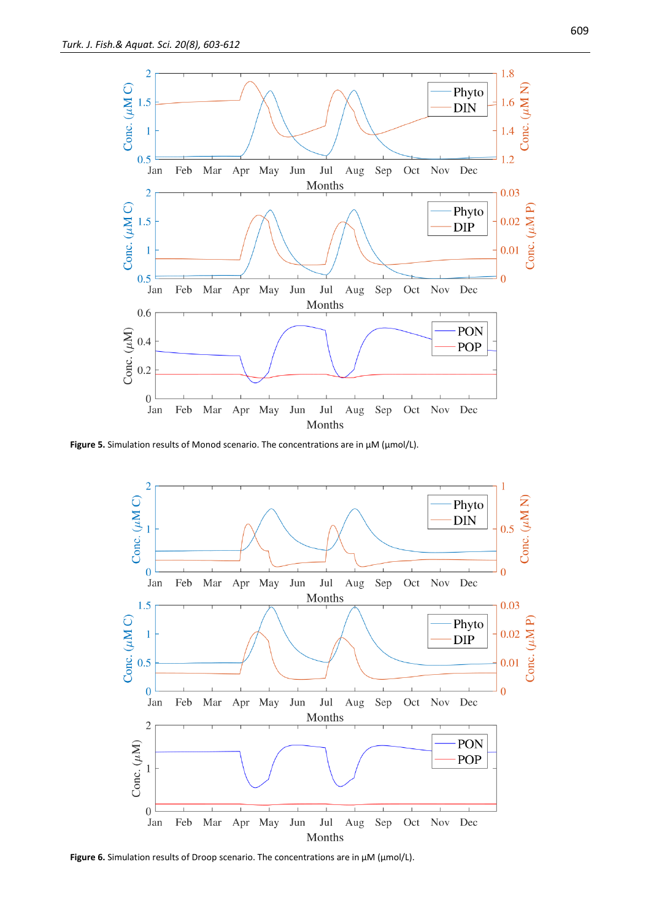

**Figure 5.** Simulation results of Monod scenario. The concentrations are in µM (µmol/L).



Figure 6. Simulation results of Droop scenario. The concentrations are in  $\mu$ M ( $\mu$ mol/L).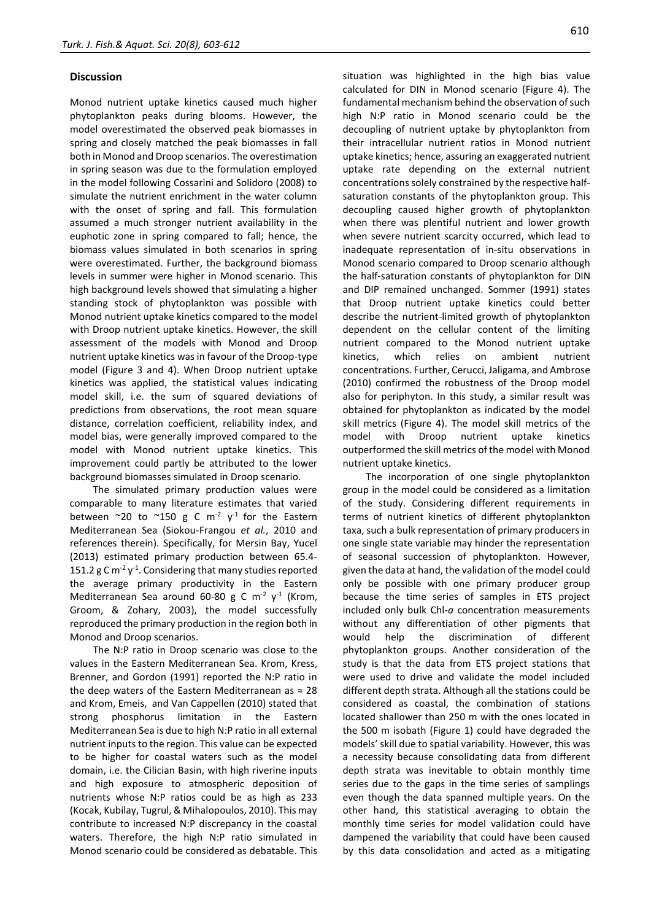## **Discussion**

Monod nutrient uptake kinetics caused much higher phytoplankton peaks during blooms. However, the model overestimated the observed peak biomasses in spring and closely matched the peak biomasses in fall both in Monod and Droop scenarios. The overestimation in spring season was due to the formulation employed in the model following Cossarini and Solidoro (2008) to simulate the nutrient enrichment in the water column with the onset of spring and fall. This formulation assumed a much stronger nutrient availability in the euphotic zone in spring compared to fall; hence, the biomass values simulated in both scenarios in spring were overestimated. Further, the background biomass levels in summer were higher in Monod scenario. This high background levels showed that simulating a higher standing stock of phytoplankton was possible with Monod nutrient uptake kinetics compared to the model with Droop nutrient uptake kinetics. However, the skill assessment of the models with Monod and Droop nutrient uptake kinetics was in favour of the Droop-type model (Figure 3 and 4). When Droop nutrient uptake kinetics was applied, the statistical values indicating model skill, i.e. the sum of squared deviations of predictions from observations, the root mean square distance, correlation coefficient, reliability index, and model bias, were generally improved compared to the model with Monod nutrient uptake kinetics. This improvement could partly be attributed to the lower background biomasses simulated in Droop scenario.

The simulated primary production values were comparable to many literature estimates that varied between  $\sim$ 20 to  $\sim$ 150 g C m<sup>-2</sup> y<sup>-1</sup> for the Eastern Mediterranean Sea (Siokou-Frangou *et al.*, 2010 and references therein). Specifically, for Mersin Bay, Yucel (2013) estimated primary production between 65.4- 151.2  $g$  C m<sup>-2</sup> y<sup>-1</sup>. Considering that many studies reported the average primary productivity in the Eastern Mediterranean Sea around 60-80 g C m<sup>-2</sup>  $y$ <sup>-1</sup> (Krom, Groom, & Zohary, 2003), the model successfully reproduced the primary production in the region both in Monod and Droop scenarios.

The N:P ratio in Droop scenario was close to the values in the Eastern Mediterranean Sea. Krom, Kress, Brenner, and Gordon (1991) reported the N:P ratio in the deep waters of the Eastern Mediterranean as  $\approx 28$ and Krom, Emeis, and Van Cappellen (2010) stated that strong phosphorus limitation in the Eastern Mediterranean Sea is due to high N:P ratio in all external nutrient inputs to the region. This value can be expected to be higher for coastal waters such as the model domain, i.e. the Cilician Basin, with high riverine inputs and high exposure to atmospheric deposition of nutrients whose N:P ratios could be as high as 233 (Kocak, Kubilay, Tugrul, & Mihalopoulos, 2010). This may contribute to increased N:P discrepancy in the coastal waters. Therefore, the high N:P ratio simulated in Monod scenario could be considered as debatable. This situation was highlighted in the high bias value calculated for DIN in Monod scenario (Figure 4). The fundamental mechanism behind the observation of such high N:P ratio in Monod scenario could be the decoupling of nutrient uptake by phytoplankton from their intracellular nutrient ratios in Monod nutrient uptake kinetics; hence, assuring an exaggerated nutrient uptake rate depending on the external nutrient concentrations solely constrained by the respective halfsaturation constants of the phytoplankton group. This decoupling caused higher growth of phytoplankton when there was plentiful nutrient and lower growth when severe nutrient scarcity occurred, which lead to inadequate representation of in-situ observations in Monod scenario compared to Droop scenario although the half-saturation constants of phytoplankton for DIN and DIP remained unchanged. Sommer (1991) states that Droop nutrient uptake kinetics could better describe the nutrient-limited growth of phytoplankton dependent on the cellular content of the limiting nutrient compared to the Monod nutrient uptake kinetics, which relies on ambient nutrient concentrations. Further, Cerucci, Jaligama, and Ambrose (2010) confirmed the robustness of the Droop model also for periphyton. In this study, a similar result was obtained for phytoplankton as indicated by the model skill metrics (Figure 4). The model skill metrics of the model with Droop nutrient uptake kinetics outperformed the skill metrics of the model with Monod nutrient uptake kinetics.

The incorporation of one single phytoplankton group in the model could be considered as a limitation of the study. Considering different requirements in terms of nutrient kinetics of different phytoplankton taxa, such a bulk representation of primary producers in one single state variable may hinder the representation of seasonal succession of phytoplankton. However, given the data at hand, the validation of the model could only be possible with one primary producer group because the time series of samples in ETS project included only bulk Chl-*a* concentration measurements without any differentiation of other pigments that would help the discrimination of different phytoplankton groups. Another consideration of the study is that the data from ETS project stations that were used to drive and validate the model included different depth strata. Although all the stations could be considered as coastal, the combination of stations located shallower than 250 m with the ones located in the 500 m isobath (Figure 1) could have degraded the models' skill due to spatial variability. However, this was a necessity because consolidating data from different depth strata was inevitable to obtain monthly time series due to the gaps in the time series of samplings even though the data spanned multiple years. On the other hand, this statistical averaging to obtain the monthly time series for model validation could have dampened the variability that could have been caused by this data consolidation and acted as a mitigating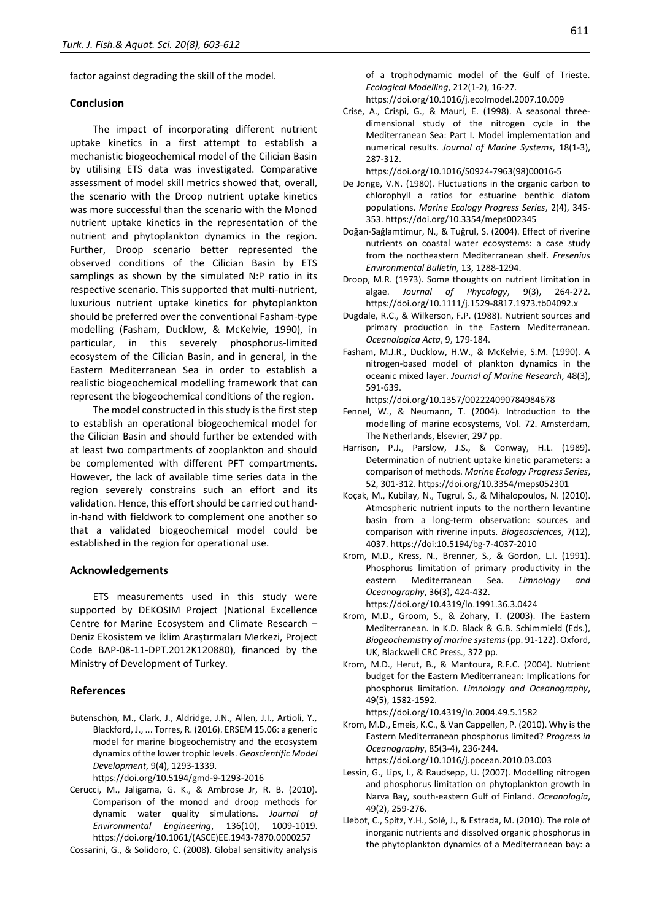factor against degrading the skill of the model.

## **Conclusion**

The impact of incorporating different nutrient uptake kinetics in a first attempt to establish a mechanistic biogeochemical model of the Cilician Basin by utilising ETS data was investigated. Comparative assessment of model skill metrics showed that, overall, the scenario with the Droop nutrient uptake kinetics was more successful than the scenario with the Monod nutrient uptake kinetics in the representation of the nutrient and phytoplankton dynamics in the region. Further, Droop scenario better represented the observed conditions of the Cilician Basin by ETS samplings as shown by the simulated N:P ratio in its respective scenario. This supported that multi-nutrient, luxurious nutrient uptake kinetics for phytoplankton should be preferred over the conventional Fasham-type modelling (Fasham, Ducklow, & McKelvie, 1990), in particular, in this severely phosphorus-limited ecosystem of the Cilician Basin, and in general, in the Eastern Mediterranean Sea in order to establish a realistic biogeochemical modelling framework that can represent the biogeochemical conditions of the region.

The model constructed in this study is the first step to establish an operational biogeochemical model for the Cilician Basin and should further be extended with at least two compartments of zooplankton and should be complemented with different PFT compartments. However, the lack of available time series data in the region severely constrains such an effort and its validation. Hence, this effort should be carried out handin-hand with fieldwork to complement one another so that a validated biogeochemical model could be established in the region for operational use.

#### **Acknowledgements**

ETS measurements used in this study were supported by DEKOSIM Project (National Excellence Centre for Marine Ecosystem and Climate Research – Deniz Ekosistem ve İklim Araştırmaları Merkezi, Project Code BAP-08-11-DPT.2012K120880), financed by the Ministry of Development of Turkey.

## **References**

- Butenschön, M., Clark, J., Aldridge, J.N., Allen, J.I., Artioli, Y., Blackford, J., ... Torres, R. (2016). ERSEM 15.06: a generic model for marine biogeochemistry and the ecosystem dynamics of the lower trophic levels. *Geoscientific Model Development*, 9(4), 1293-1339.
	- https://doi.org/10.5194/gmd-9-1293-2016
- Cerucci, M., Jaligama, G. K., & Ambrose Jr, R. B. (2010). Comparison of the monod and droop methods for dynamic water quality simulations. *Journal of Environmental Engineering*, 136(10), 1009-1019. https://doi.org/10.1061/(ASCE)EE.1943-7870.0000257

Cossarini, G., & Solidoro, C. (2008). Global sensitivity analysis

of a trophodynamic model of the Gulf of Trieste. *Ecological Modelling*, 212(1-2), 16-27.

- https://doi.org/10.1016/j.ecolmodel.2007.10.009
- Crise, A., Crispi, G., & Mauri, E. (1998). A seasonal threedimensional study of the nitrogen cycle in the Mediterranean Sea: Part I. Model implementation and numerical results. *Journal of Marine Systems*, 18(1-3), 287-312.

https://doi.org/10.1016/S0924-7963(98)00016-5

- De Jonge, V.N. (1980). Fluctuations in the organic carbon to chlorophyll a ratios for estuarine benthic diatom populations. *Marine Ecology Progress Series*, 2(4), 345- 353. https://doi.org/10.3354/meps002345
- Doğan-Sağlamtimur, N., & Tuğrul, S. (2004). Effect of riverine nutrients on coastal water ecosystems: a case study from the northeastern Mediterranean shelf. *Fresenius Environmental Bulletin*, 13, 1288-1294.
- Droop, M.R. (1973). Some thoughts on nutrient limitation in algae. *Journal of Phycology*, 9(3), 264-272. https://doi.org/10.1111/j.1529-8817.1973.tb04092.x
- Dugdale, R.C., & Wilkerson, F.P. (1988). Nutrient sources and primary production in the Eastern Mediterranean. *Oceanologica Acta*, 9, 179-184.
- Fasham, M.J.R., Ducklow, H.W., & McKelvie, S.M. (1990). A nitrogen-based model of plankton dynamics in the oceanic mixed layer. *Journal of Marine Research*, 48(3), 591-639.

https://doi.org/10.1357/002224090784984678

- Fennel, W., & Neumann, T. (2004). Introduction to the modelling of marine ecosystems, Vol. 72. Amsterdam, The Netherlands, Elsevier, 297 pp.
- Harrison, P.J., Parslow, J.S., & Conway, H.L. (1989). Determination of nutrient uptake kinetic parameters: a comparison of methods. *Marine Ecology Progress Series*, 52, 301-312. https://doi.org/10.3354/meps052301
- Koçak, M., Kubilay, N., Tugrul, S., & Mihalopoulos, N. (2010). Atmospheric nutrient inputs to the northern levantine basin from a long-term observation: sources and comparison with riverine inputs. *Biogeosciences*, 7(12), 4037. https://doi:10.5194/bg-7-4037-2010
- Krom, M.D., Kress, N., Brenner, S., & Gordon, L.I. (1991). Phosphorus limitation of primary productivity in the eastern Mediterranean Sea. *Limnology and Oceanography*, 36(3), 424-432.

https://doi.org/10.4319/lo.1991.36.3.0424

- Krom, M.D., Groom, S., & Zohary, T. (2003). The Eastern Mediterranean. In K.D. Black & G.B. Schimmield (Eds.), *Biogeochemistry of marine systems* (pp. 91-122). Oxford, UK, Blackwell CRC Press., 372 pp.
- Krom, M.D., Herut, B., & Mantoura, R.F.C. (2004). Nutrient budget for the Eastern Mediterranean: Implications for phosphorus limitation. *Limnology and Oceanography*, 49(5), 1582-1592.

https://doi.org/10.4319/lo.2004.49.5.1582

- Krom, M.D., Emeis, K.C., & Van Cappellen, P. (2010). Why is the Eastern Mediterranean phosphorus limited? *Progress in Oceanography*, 85(3-4), 236-244. https://doi.org/10.1016/j.pocean.2010.03.003
- Lessin, G., Lips, I., & Raudsepp, U. (2007). Modelling nitrogen and phosphorus limitation on phytoplankton growth in Narva Bay, south-eastern Gulf of Finland. *Oceanologia*, 49(2), 259-276.
- Llebot, C., Spitz, Y.H., Solé, J., & Estrada, M. (2010). The role of inorganic nutrients and dissolved organic phosphorus in the phytoplankton dynamics of a Mediterranean bay: a